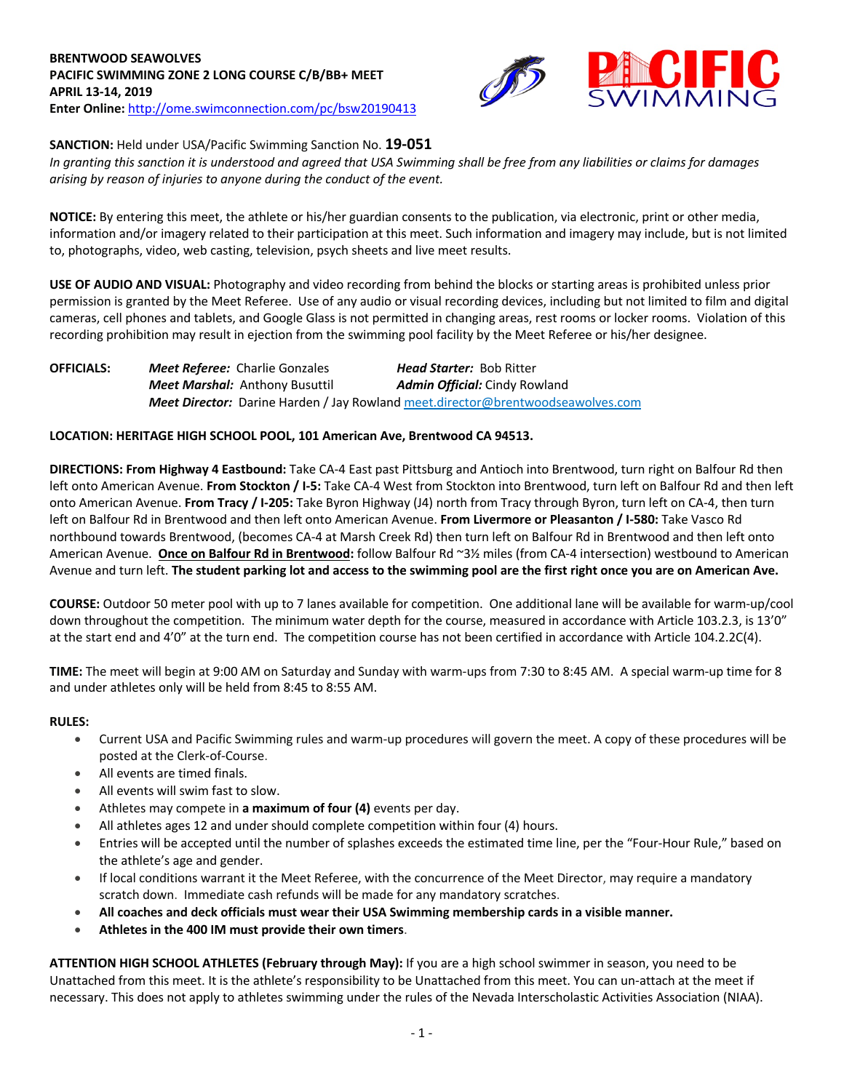

# **SANCTION:** Held under USA/Pacific Swimming Sanction No. **19-051**

*In granting this sanction it is understood and agreed that USA Swimming shall be free from any liabilities or claims for damages arising by reason of injuries to anyone during the conduct of the event.*

**NOTICE:** By entering this meet, the athlete or his/her guardian consents to the publication, via electronic, print or other media, information and/or imagery related to their participation at this meet. Such information and imagery may include, but is not limited to, photographs, video, web casting, television, psych sheets and live meet results.

**USE OF AUDIO AND VISUAL:** Photography and video recording from behind the blocks or starting areas is prohibited unless prior permission is granted by the Meet Referee. Use of any audio or visual recording devices, including but not limited to film and digital cameras, cell phones and tablets, and Google Glass is not permitted in changing areas, rest rooms or locker rooms. Violation of this recording prohibition may result in ejection from the swimming pool facility by the Meet Referee or his/her designee.

**OFFICIALS:** *Meet Referee:* Charlie Gonzales *Head Starter:* Bob Ritter *Meet Marshal:* Anthony Busuttil *Admin Official:* Cindy Rowland *Meet Director:* Darine Harden / Jay Rowland meet.director@brentwoodseawolves.com

## **LOCATION: HERITAGE HIGH SCHOOL POOL, 101 American Ave, Brentwood CA 94513.**

**DIRECTIONS: From Highway 4 Eastbound:** Take CA-4 East past Pittsburg and Antioch into Brentwood, turn right on Balfour Rd then left onto American Avenue. **From Stockton / I-5:** Take CA-4 West from Stockton into Brentwood, turn left on Balfour Rd and then left onto American Avenue. **From Tracy / I-205:** Take Byron Highway (J4) north from Tracy through Byron, turn left on CA-4, then turn left on Balfour Rd in Brentwood and then left onto American Avenue. **From Livermore or Pleasanton / I-580:** Take Vasco Rd northbound towards Brentwood, (becomes CA-4 at Marsh Creek Rd) then turn left on Balfour Rd in Brentwood and then left onto American Avenue. **Once on Balfour Rd in Brentwood:** follow Balfour Rd ~3½ miles (from CA-4 intersection) westbound to American Avenue and turn left. **The student parking lot and access to the swimming pool are the first right once you are on American Ave.**

**COURSE:** Outdoor 50 meter pool with up to 7 lanes available for competition. One additional lane will be available for warm-up/cool down throughout the competition. The minimum water depth for the course, measured in accordance with Article 103.2.3, is 13'0" at the start end and 4'0" at the turn end. The competition course has not been certified in accordance with Article 104.2.2C(4).

**TIME:** The meet will begin at 9:00 AM on Saturday and Sunday with warm-ups from 7:30 to 8:45 AM. A special warm-up time for 8 and under athletes only will be held from 8:45 to 8:55 AM.

## **RULES:**

- Current USA and Pacific Swimming rules and warm-up procedures will govern the meet. A copy of these procedures will be posted at the Clerk-of-Course.
- All events are timed finals.
- All events will swim fast to slow.
- Athletes may compete in **a maximum of four (4)** events per day.
- All athletes ages 12 and under should complete competition within four (4) hours.
- Entries will be accepted until the number of splashes exceeds the estimated time line, per the "Four-Hour Rule," based on the athlete's age and gender.
- If local conditions warrant it the Meet Referee, with the concurrence of the Meet Director, may require a mandatory scratch down. Immediate cash refunds will be made for any mandatory scratches.
- **All coaches and deck officials must wear their USA Swimming membership cards in a visible manner.**
- **Athletes in the 400 IM must provide their own timers**.

**ATTENTION HIGH SCHOOL ATHLETES (February through May):** If you are a high school swimmer in season, you need to be Unattached from this meet. It is the athlete's responsibility to be Unattached from this meet. You can un-attach at the meet if necessary. This does not apply to athletes swimming under the rules of the Nevada Interscholastic Activities Association (NIAA).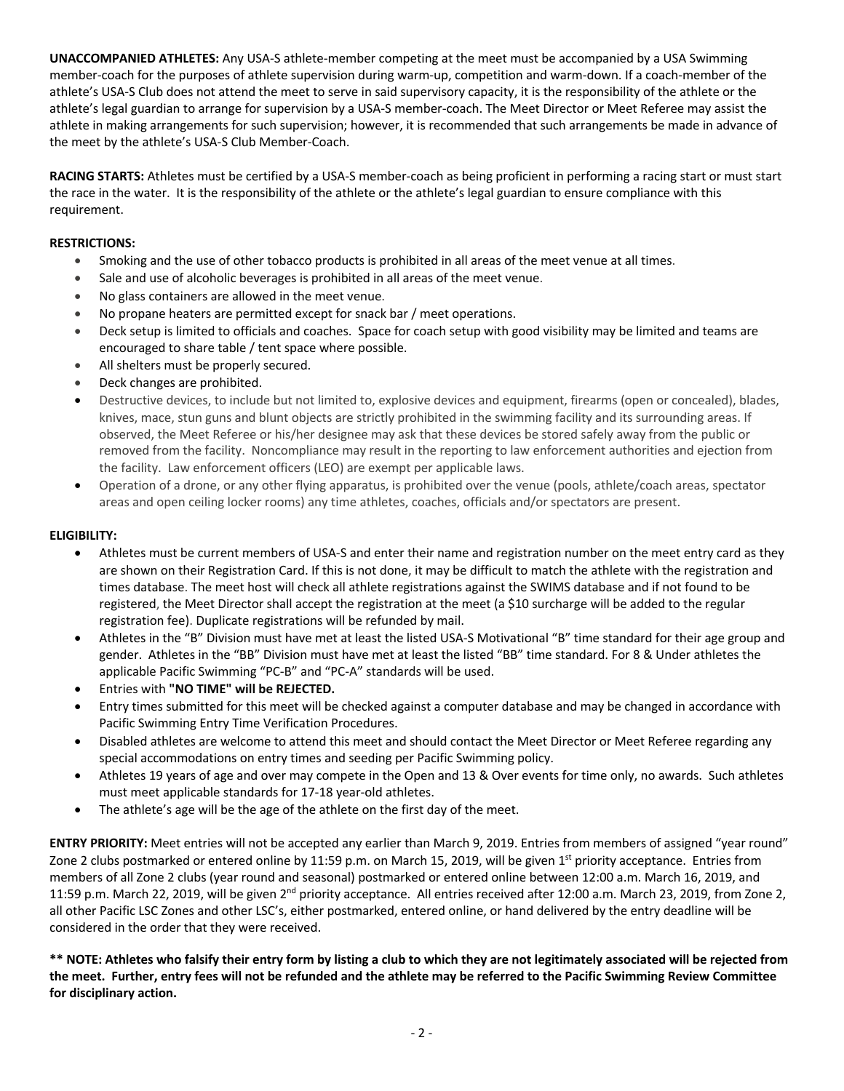**UNACCOMPANIED ATHLETES:** Any USA-S athlete-member competing at the meet must be accompanied by a USA Swimming member-coach for the purposes of athlete supervision during warm-up, competition and warm-down. If a coach-member of the athlete's USA-S Club does not attend the meet to serve in said supervisory capacity, it is the responsibility of the athlete or the athlete's legal guardian to arrange for supervision by a USA-S member-coach. The Meet Director or Meet Referee may assist the athlete in making arrangements for such supervision; however, it is recommended that such arrangements be made in advance of the meet by the athlete's USA-S Club Member-Coach.

**RACING STARTS:** Athletes must be certified by a USA-S member-coach as being proficient in performing a racing start or must start the race in the water. It is the responsibility of the athlete or the athlete's legal guardian to ensure compliance with this requirement.

# **RESTRICTIONS:**

- Smoking and the use of other tobacco products is prohibited in all areas of the meet venue at all times.
- Sale and use of alcoholic beverages is prohibited in all areas of the meet venue.
- No glass containers are allowed in the meet venue.
- No propane heaters are permitted except for snack bar / meet operations.
- Deck setup is limited to officials and coaches. Space for coach setup with good visibility may be limited and teams are encouraged to share table / tent space where possible.
- All shelters must be properly secured.
- Deck changes are prohibited.
- Destructive devices, to include but not limited to, explosive devices and equipment, firearms (open or concealed), blades, knives, mace, stun guns and blunt objects are strictly prohibited in the swimming facility and its surrounding areas. If observed, the Meet Referee or his/her designee may ask that these devices be stored safely away from the public or removed from the facility. Noncompliance may result in the reporting to law enforcement authorities and ejection from the facility. Law enforcement officers (LEO) are exempt per applicable laws.
- Operation of a drone, or any other flying apparatus, is prohibited over the venue (pools, athlete/coach areas, spectator areas and open ceiling locker rooms) any time athletes, coaches, officials and/or spectators are present.

## **ELIGIBILITY:**

- Athletes must be current members of USA-S and enter their name and registration number on the meet entry card as they are shown on their Registration Card. If this is not done, it may be difficult to match the athlete with the registration and times database. The meet host will check all athlete registrations against the SWIMS database and if not found to be registered, the Meet Director shall accept the registration at the meet (a \$10 surcharge will be added to the regular registration fee). Duplicate registrations will be refunded by mail.
- Athletes in the "B" Division must have met at least the listed USA-S Motivational "B" time standard for their age group and gender. Athletes in the "BB" Division must have met at least the listed "BB" time standard. For 8 & Under athletes the applicable Pacific Swimming "PC-B" and "PC-A" standards will be used.
- Entries with **"NO TIME" will be REJECTED.**
- Entry times submitted for this meet will be checked against a computer database and may be changed in accordance with Pacific Swimming Entry Time Verification Procedures.
- Disabled athletes are welcome to attend this meet and should contact the Meet Director or Meet Referee regarding any special accommodations on entry times and seeding per Pacific Swimming policy.
- Athletes 19 years of age and over may compete in the Open and 13 & Over events for time only, no awards. Such athletes must meet applicable standards for 17-18 year-old athletes.
- The athlete's age will be the age of the athlete on the first day of the meet.

**ENTRY PRIORITY:** Meet entries will not be accepted any earlier than March 9, 2019. Entries from members of assigned "year round" Zone 2 clubs postmarked or entered online by 11:59 p.m. on March 15, 2019, will be given  $1<sup>st</sup>$  priority acceptance. Entries from members of all Zone 2 clubs (year round and seasonal) postmarked or entered online between 12:00 a.m. March 16, 2019, and 11:59 p.m. March 22, 2019, will be given 2<sup>nd</sup> priority acceptance. All entries received after 12:00 a.m. March 23, 2019, from Zone 2, all other Pacific LSC Zones and other LSC's, either postmarked, entered online, or hand delivered by the entry deadline will be considered in the order that they were received.

**\*\* NOTE: Athletes who falsify their entry form by listing a club to which they are not legitimately associated will be rejected from the meet. Further, entry fees will not be refunded and the athlete may be referred to the Pacific Swimming Review Committee for disciplinary action.**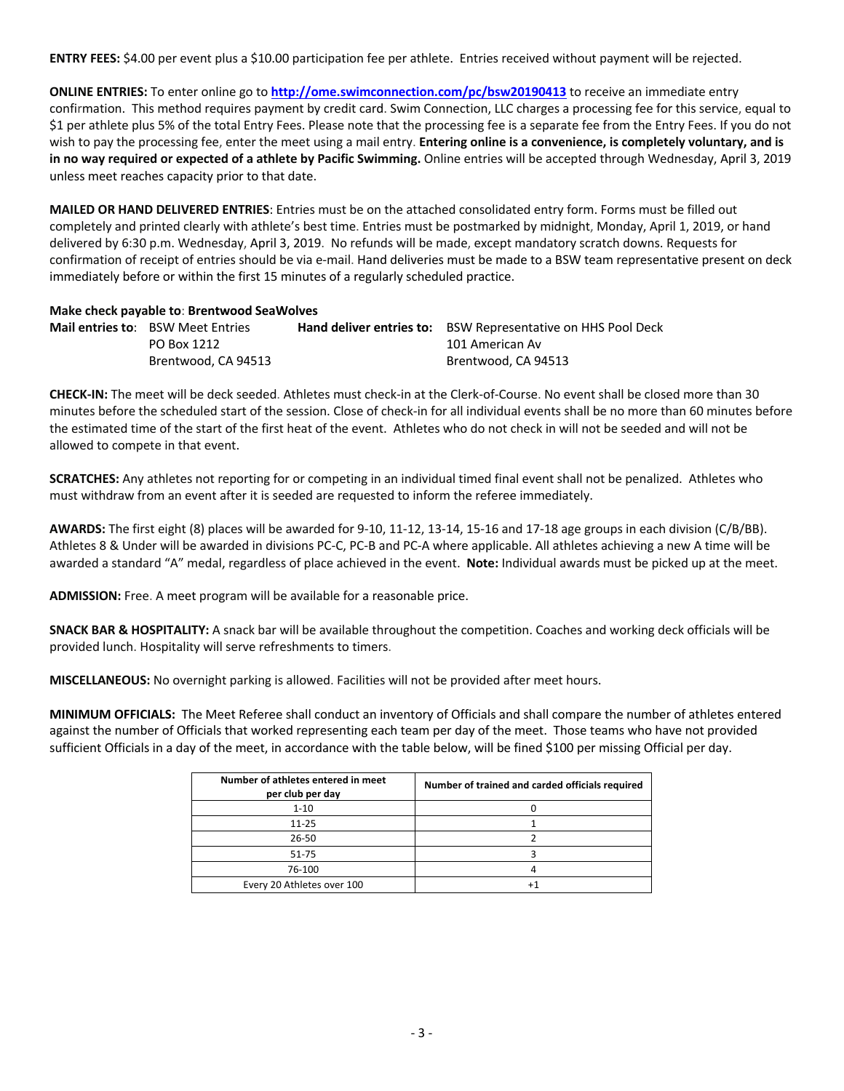**ENTRY FEES:** \$4.00 per event plus a \$10.00 participation fee per athlete. Entries received without payment will be rejected.

**ONLINE ENTRIES:** To enter online go to **http://ome.swimconnection.com/pc/bsw20190413** to receive an immediate entry confirmation. This method requires payment by credit card. Swim Connection, LLC charges a processing fee for this service, equal to \$1 per athlete plus 5% of the total Entry Fees. Please note that the processing fee is a separate fee from the Entry Fees. If you do not wish to pay the processing fee, enter the meet using a mail entry. **Entering online is a convenience, is completely voluntary, and is in no way required or expected of a athlete by Pacific Swimming.** Online entries will be accepted through Wednesday, April 3, 2019 unless meet reaches capacity prior to that date.

**MAILED OR HAND DELIVERED ENTRIES**: Entries must be on the attached consolidated entry form. Forms must be filled out completely and printed clearly with athlete's best time. Entries must be postmarked by midnight, Monday, April 1, 2019, or hand delivered by 6:30 p.m. Wednesday, April 3, 2019. No refunds will be made, except mandatory scratch downs. Requests for confirmation of receipt of entries should be via e-mail. Hand deliveries must be made to a BSW team representative present on deck immediately before or within the first 15 minutes of a regularly scheduled practice.

#### **Make check payable to**: **Brentwood SeaWolves**

| <b>Mail entries to:</b> BSW Meet Entries | <b>Hand deliver entries to:</b> BSW Representative on HHS Pool Deck |
|------------------------------------------|---------------------------------------------------------------------|
| PO Box 1212                              | 101 American Av                                                     |
| Brentwood, CA 94513                      | Brentwood, CA 94513                                                 |

**CHECK-IN:** The meet will be deck seeded. Athletes must check-in at the Clerk-of-Course. No event shall be closed more than 30 minutes before the scheduled start of the session. Close of check-in for all individual events shall be no more than 60 minutes before the estimated time of the start of the first heat of the event. Athletes who do not check in will not be seeded and will not be allowed to compete in that event.

**SCRATCHES:** Any athletes not reporting for or competing in an individual timed final event shall not be penalized. Athletes who must withdraw from an event after it is seeded are requested to inform the referee immediately.

**AWARDS:** The first eight (8) places will be awarded for 9-10, 11-12, 13-14, 15-16 and 17-18 age groups in each division (C/B/BB). Athletes 8 & Under will be awarded in divisions PC-C, PC-B and PC-A where applicable. All athletes achieving a new A time will be awarded a standard "A" medal, regardless of place achieved in the event. **Note:** Individual awards must be picked up at the meet.

**ADMISSION:** Free. A meet program will be available for a reasonable price.

**SNACK BAR & HOSPITALITY:** A snack bar will be available throughout the competition. Coaches and working deck officials will be provided lunch. Hospitality will serve refreshments to timers.

**MISCELLANEOUS:** No overnight parking is allowed. Facilities will not be provided after meet hours.

**MINIMUM OFFICIALS:** The Meet Referee shall conduct an inventory of Officials and shall compare the number of athletes entered against the number of Officials that worked representing each team per day of the meet. Those teams who have not provided sufficient Officials in a day of the meet, in accordance with the table below, will be fined \$100 per missing Official per day.

| Number of athletes entered in meet<br>per club per day | Number of trained and carded officials required |
|--------------------------------------------------------|-------------------------------------------------|
| $1 - 10$                                               |                                                 |
| $11 - 25$                                              |                                                 |
| 26-50                                                  |                                                 |
| 51-75                                                  |                                                 |
| 76-100                                                 |                                                 |
| Every 20 Athletes over 100                             |                                                 |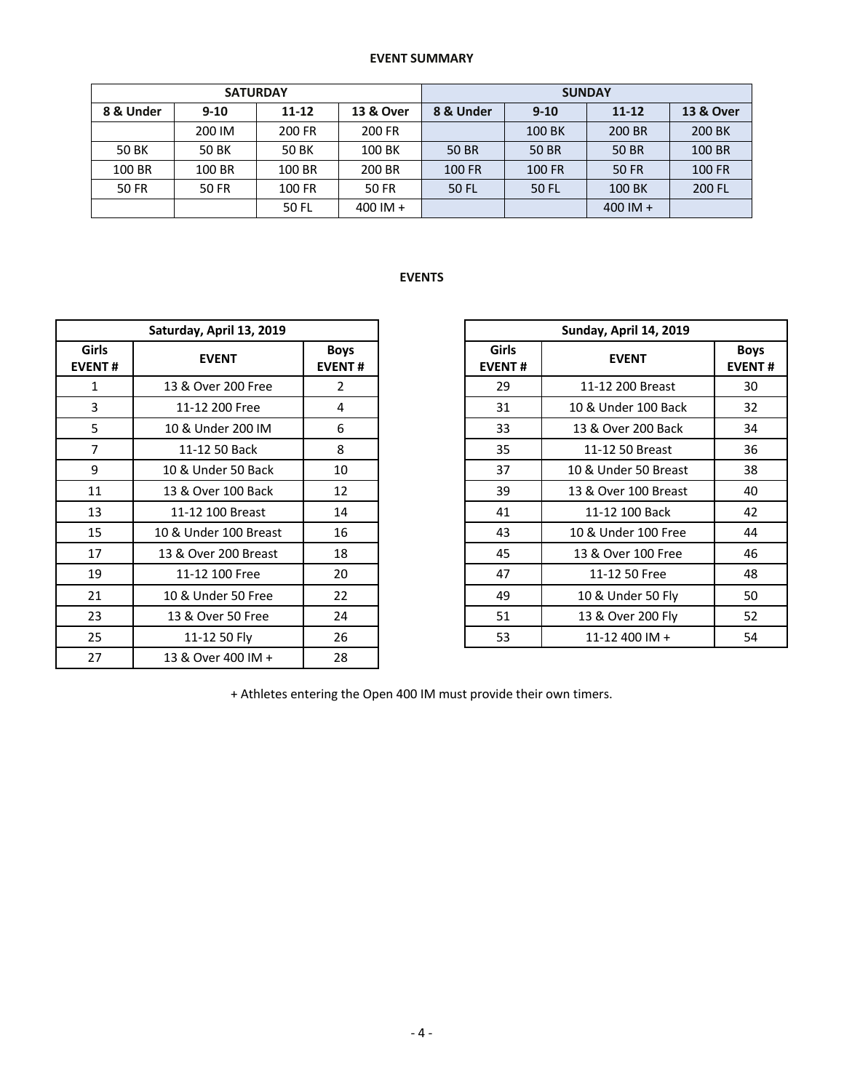# **EVENT SUMMARY**

|              | <b>SATURDAY</b> |           |            | <b>SUNDAY</b> |          |            |                      |  |  |
|--------------|-----------------|-----------|------------|---------------|----------|------------|----------------------|--|--|
| 8 & Under    | $9-10$          | $11 - 12$ | 13 & Over  | 8 & Under     | $9 - 10$ | $11 - 12$  | <b>13 &amp; Over</b> |  |  |
|              | 200 IM          | 200 FR    | 200 FR     |               | 100 BK   | 200 BR     | 200 BK               |  |  |
| 50 BK        | 50 BK           | 50 BK     | 100 BK     | 50 BR         | 50 BR    | 50 BR      | 100 BR               |  |  |
| 100 BR       | 100 BR          | 100 BR    | 200 BR     | <b>100 FR</b> | 100 FR   | 50 FR      | <b>100 FR</b>        |  |  |
| <b>50 FR</b> | 50 FR           | 100 FR    | 50 FR      | 50 FL         | 50 FL    | 100 BK     | 200 FL               |  |  |
|              |                 | 50 FL     | $400$ IM + |               |          | $400$ IM + |                      |  |  |

# **EVENTS**

|                               | Saturday, April 13, 2019 |                |                               | Sunday, April 14, 2019 |                    |  |  |  |  |
|-------------------------------|--------------------------|----------------|-------------------------------|------------------------|--------------------|--|--|--|--|
| <b>Girls</b><br><b>EVENT#</b> | <b>EVENT</b>             |                | <b>Girls</b><br><b>EVENT#</b> | <b>EVENT</b>           | Boy<br><b>EVEN</b> |  |  |  |  |
| 1                             | 13 & Over 200 Free       | $\overline{2}$ | 29                            | 11-12 200 Breast       | 30                 |  |  |  |  |
| 3                             | 11-12 200 Free           | 4              | 31                            | 10 & Under 100 Back    | 32                 |  |  |  |  |
| 5                             | 10 & Under 200 IM        | 6              | 33                            | 13 & Over 200 Back     | 34                 |  |  |  |  |
| $\overline{7}$                | 11-12 50 Back            | 8              | 35                            | 11-12 50 Breast        | 36                 |  |  |  |  |
| 9                             | 10 & Under 50 Back       | 10             | 37                            | 10 & Under 50 Breast   | 38                 |  |  |  |  |
| 11                            | 13 & Over 100 Back       | 12             | 39                            | 13 & Over 100 Breast   | 40                 |  |  |  |  |
| 13                            | 11-12 100 Breast         | 14             | 41                            | 11-12 100 Back         | 42                 |  |  |  |  |
| 15                            | 10 & Under 100 Breast    | 16             | 43                            | 10 & Under 100 Free    | 44                 |  |  |  |  |
| 17                            | 13 & Over 200 Breast     | 18             | 45                            | 13 & Over 100 Free     | 46                 |  |  |  |  |
| 19                            | 11-12 100 Free           | 20             | 47                            | 11-12 50 Free          | 48                 |  |  |  |  |
| 21                            | 10 & Under 50 Free       | 22             | 49                            | 10 & Under 50 Fly      | 50                 |  |  |  |  |
| 23                            | 13 & Over 50 Free        | 24             | 51                            | 13 & Over 200 Fly      | 52                 |  |  |  |  |
| 25                            | 11-12 50 Fly             | 26             | 53                            | 11-12 400 IM +         | 54                 |  |  |  |  |
| 27                            | 13 & Over 400 IM +       | 28             |                               |                        |                    |  |  |  |  |

|                | Saturday, April 13, 2019                     |                |                               | Sunday, April 14, 2019 |                      |                              |  |  |
|----------------|----------------------------------------------|----------------|-------------------------------|------------------------|----------------------|------------------------------|--|--|
| irls<br>NT#    | <b>Boys</b><br><b>EVENT</b><br><b>EVENT#</b> |                | <b>Girls</b><br><b>EVENT#</b> |                        | <b>EVENT</b>         | <b>Boys</b><br><b>EVENT#</b> |  |  |
| 1              | 13 & Over 200 Free                           | $\overline{2}$ | 29                            |                        | 11-12 200 Breast     | 30                           |  |  |
| 3              | 11-12 200 Free                               | 4              | 31                            |                        | 10 & Under 100 Back  | 32                           |  |  |
| 5              | 10 & Under 200 IM                            | 6              | 33                            |                        | 13 & Over 200 Back   | 34                           |  |  |
| $\overline{7}$ | 11-12 50 Back                                | 8              | 35                            |                        | 11-12 50 Breast      | 36                           |  |  |
| 9              | 10 & Under 50 Back                           | 10             | 37                            |                        | 10 & Under 50 Breast | 38                           |  |  |
| L1             | 13 & Over 100 Back                           | 12             | 39                            |                        | 13 & Over 100 Breast | 40                           |  |  |
| L3             | 11-12 100 Breast                             | 14             | 41                            |                        | 11-12 100 Back       | 42                           |  |  |
| L5             | 10 & Under 100 Breast                        | 16             | 43                            |                        | 10 & Under 100 Free  | 44                           |  |  |
| L7             | 13 & Over 200 Breast                         | 18             | 45                            |                        | 13 & Over 100 Free   | 46                           |  |  |
| L9             | 11-12 100 Free                               | 20             | 47                            |                        | 11-12 50 Free        | 48                           |  |  |
| $^{21}$        | 10 & Under 50 Free                           | 22             | 49                            |                        | 10 & Under 50 Fly    | 50                           |  |  |
| 23             | 13 & Over 50 Free                            | 24             | 51                            |                        | 13 & Over 200 Fly    | 52                           |  |  |
| 25             | 11-12 50 Fly                                 | 26             | 53                            |                        | 11-12 400 IM +       | 54                           |  |  |

+ Athletes entering the Open 400 IM must provide their own timers.